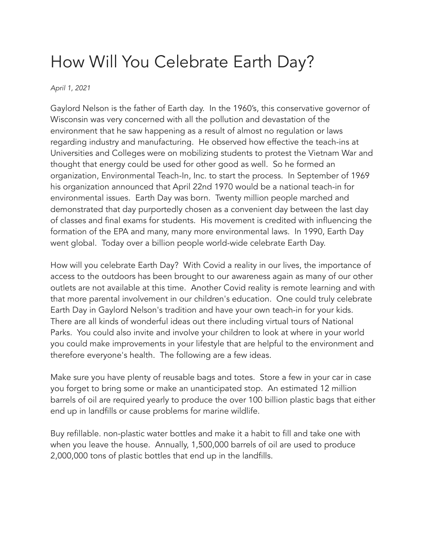## How Will You Celebrate Earth Day?

## *April 1, 2021*

Gaylord Nelson is the father of Earth day. In the 1960's, this conservative governor of Wisconsin was very concerned with all the pollution and devastation of the environment that he saw happening as a result of almost no regulation or laws regarding industry and manufacturing. He observed how effective the teach-ins at Universities and Colleges were on mobilizing students to protest the Vietnam War and thought that energy could be used for other good as well. So he formed an organization, Environmental Teach-In, Inc. to start the process. In September of 1969 his organization announced that April 22nd 1970 would be a national teach-in for environmental issues. Earth Day was born. Twenty million people marched and demonstrated that day purportedly chosen as a convenient day between the last day of classes and final exams for students. His movement is credited with influencing the formation of the EPA and many, many more environmental laws. In 1990, Earth Day went global. Today over a billion people world-wide celebrate Earth Day.

How will you celebrate Earth Day? With Covid a reality in our lives, the importance of access to the outdoors has been brought to our awareness again as many of our other outlets are not available at this time. Another Covid reality is remote learning and with that more parental involvement in our children's education. One could truly celebrate Earth Day in Gaylord Nelson's tradition and have your own teach-in for your kids. There are all kinds of wonderful ideas out there including virtual tours of National Parks. You could also invite and involve your children to look at where in your world you could make improvements in your lifestyle that are helpful to the environment and therefore everyone's health. The following are a few ideas.

Make sure you have plenty of reusable bags and totes. Store a few in your car in case you forget to bring some or make an unanticipated stop. An estimated 12 million barrels of oil are required yearly to produce the over 100 billion plastic bags that either end up in landfills or cause problems for marine wildlife.

Buy refillable. non-plastic water bottles and make it a habit to fill and take one with when you leave the house. Annually, 1,500,000 barrels of oil are used to produce 2,000,000 tons of plastic bottles that end up in the landfills.